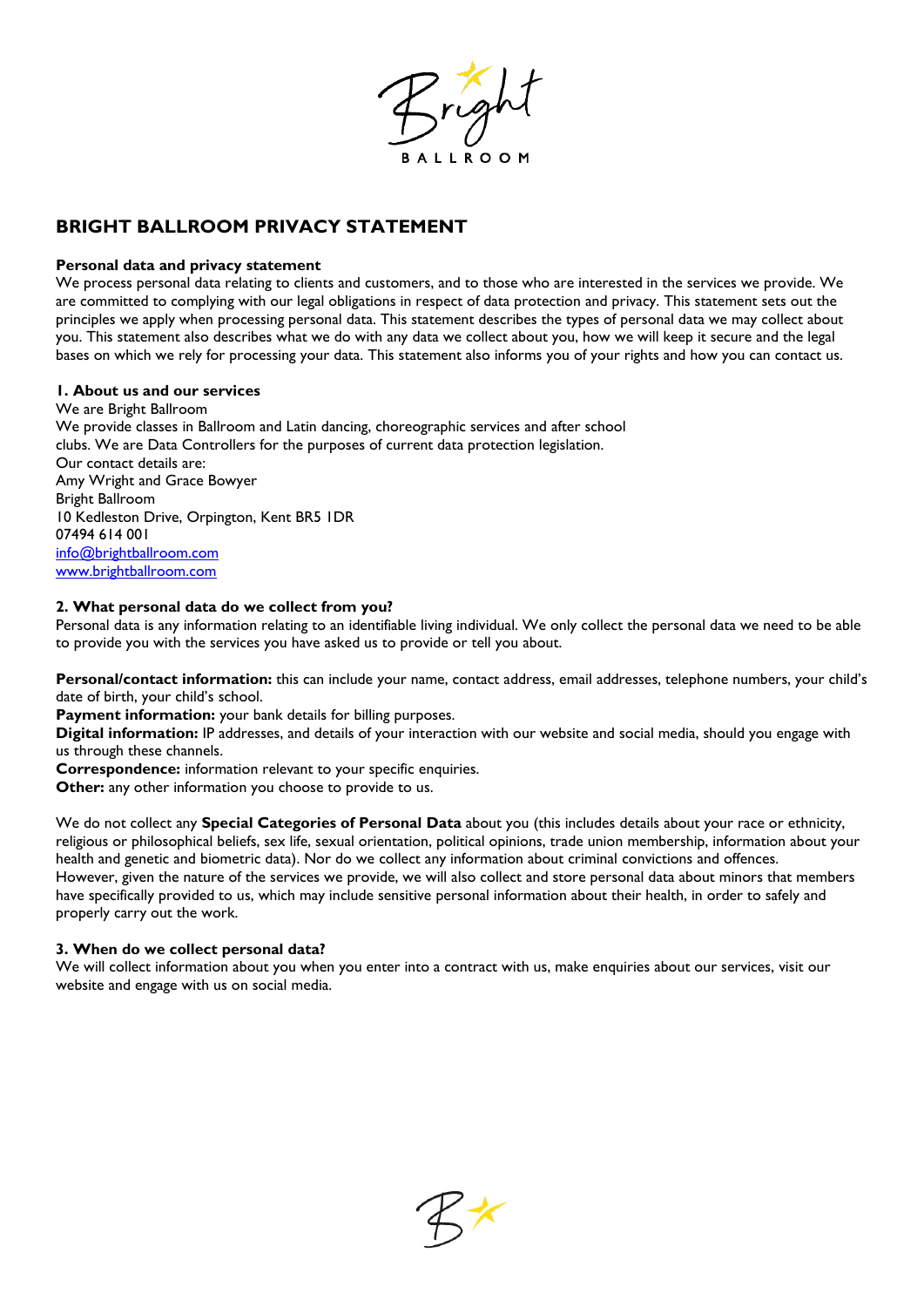

# **BRIGHT BALLROOM PRIVACY STATEMENT**

# **Personal data and privacy statement**

We process personal data relating to clients and customers, and to those who are interested in the services we provide. We are committed to complying with our legal obligations in respect of data protection and privacy. This statement sets out the principles we apply when processing personal data. This statement describes the types of personal data we may collect about you. This statement also describes what we do with any data we collect about you, how we will keep it secure and the legal bases on which we rely for processing your data. This statement also informs you of your rights and how you can contact us.

# **1. About us and our services**

We are Bright Ballroom We provide classes in Ballroom and Latin dancing, choreographic services and after school clubs. We are Data Controllers for the purposes of current data protection legislation. Our contact details are: Amy Wright and Grace Bowyer Bright Ballroom 10 Kedleston Drive, Orpington, Kent BR5 1DR 07494 614 001 [info@brightballroom.com](mailto:info@brightballroom.com) [www.brightballroom.com](http://www.brightballroom.com/)

# **2. What personal data do we collect from you?**

Personal data is any information relating to an identifiable living individual. We only collect the personal data we need to be able to provide you with the services you have asked us to provide or tell you about.

**Personal/contact information:** this can include your name, contact address, email addresses, telephone numbers, your child's date of birth, your child's school.

**Payment information:** your bank details for billing purposes.

**Digital information:** IP addresses, and details of your interaction with our website and social media, should you engage with us through these channels.

**Correspondence:** information relevant to your specific enquiries.

**Other:** any other information you choose to provide to us.

We do not collect any **Special Categories of Personal Data** about you (this includes details about your race or ethnicity, religious or philosophical beliefs, sex life, sexual orientation, political opinions, trade union membership, information about your health and genetic and biometric data). Nor do we collect any information about criminal convictions and offences. However, given the nature of the services we provide, we will also collect and store personal data about minors that members have specifically provided to us, which may include sensitive personal information about their health, in order to safely and properly carry out the work.

# **3. When do we collect personal data?**

We will collect information about you when you enter into a contract with us, make enquiries about our services, visit our website and engage with us on social media.

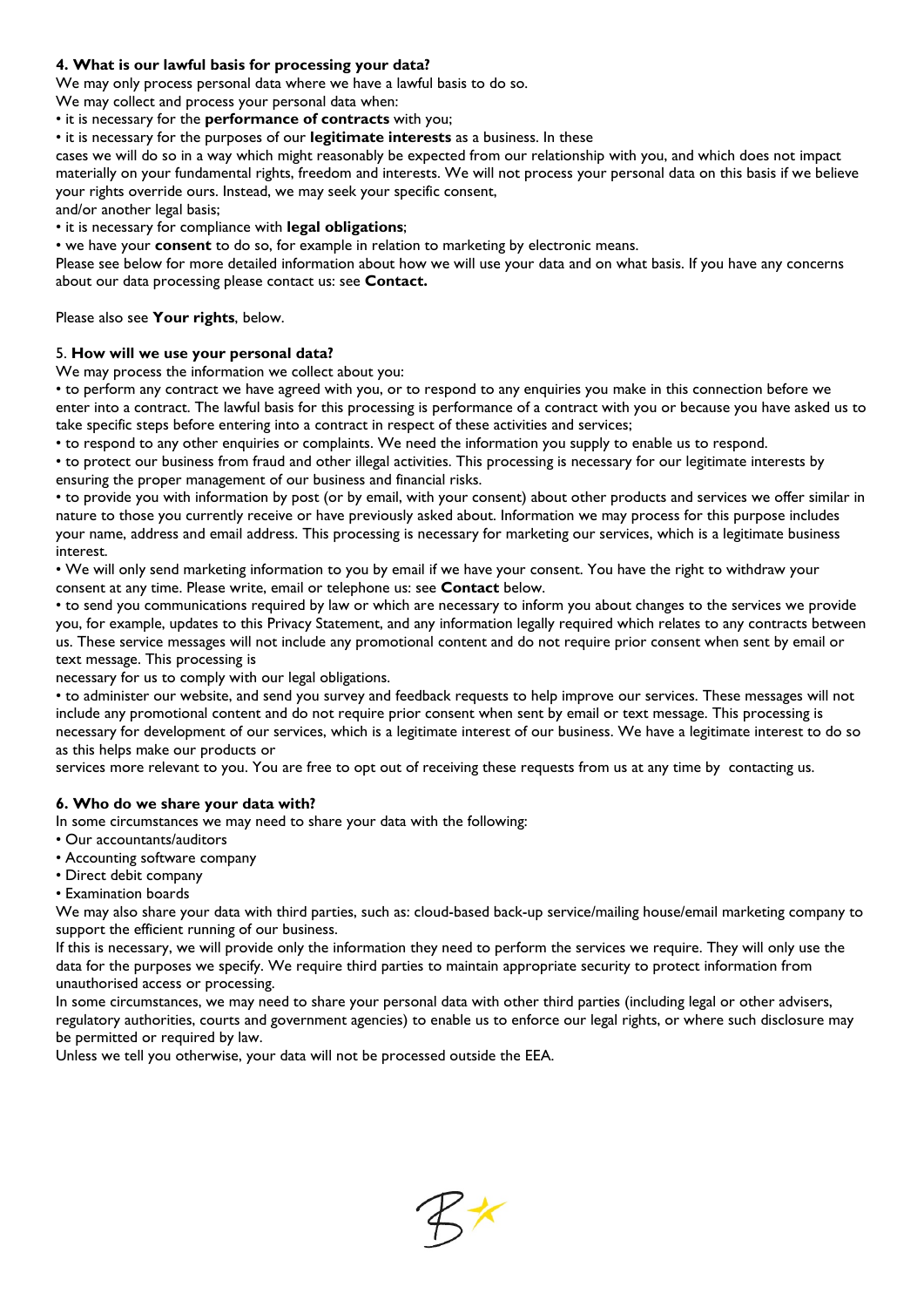# **4. What is our lawful basis for processing your data?**

We may only process personal data where we have a lawful basis to do so.

We may collect and process your personal data when:

• it is necessary for the **performance of contracts** with you;

• it is necessary for the purposes of our **legitimate interests** as a business. In these

cases we will do so in a way which might reasonably be expected from our relationship with you, and which does not impact materially on your fundamental rights, freedom and interests. We will not process your personal data on this basis if we believe your rights override ours. Instead, we may seek your specific consent,

and/or another legal basis;

• it is necessary for compliance with **legal obligations**;

• we have your **consent** to do so, for example in relation to marketing by electronic means.

Please see below for more detailed information about how we will use your data and on what basis. If you have any concerns about our data processing please contact us: see **Contact.**

Please also see **Your rights**, below.

# 5. **How will we use your personal data?**

We may process the information we collect about you:

• to perform any contract we have agreed with you, or to respond to any enquiries you make in this connection before we enter into a contract. The lawful basis for this processing is performance of a contract with you or because you have asked us to take specific steps before entering into a contract in respect of these activities and services;

• to respond to any other enquiries or complaints. We need the information you supply to enable us to respond.

• to protect our business from fraud and other illegal activities. This processing is necessary for our legitimate interests by ensuring the proper management of our business and financial risks.

• to provide you with information by post (or by email, with your consent) about other products and services we offer similar in nature to those you currently receive or have previously asked about. Information we may process for this purpose includes your name, address and email address. This processing is necessary for marketing our services, which is a legitimate business interest.

• We will only send marketing information to you by email if we have your consent. You have the right to withdraw your consent at any time. Please write, email or telephone us: see **Contact** below.

• to send you communications required by law or which are necessary to inform you about changes to the services we provide you, for example, updates to this Privacy Statement, and any information legally required which relates to any contracts between us. These service messages will not include any promotional content and do not require prior consent when sent by email or text message. This processing is

necessary for us to comply with our legal obligations.

• to administer our website, and send you survey and feedback requests to help improve our services. These messages will not include any promotional content and do not require prior consent when sent by email or text message. This processing is necessary for development of our services, which is a legitimate interest of our business. We have a legitimate interest to do so as this helps make our products or

services more relevant to you. You are free to opt out of receiving these requests from us at any time by contacting us.

# **6. Who do we share your data with?**

In some circumstances we may need to share your data with the following:

- Our accountants/auditors
- Accounting software company
- Direct debit company
- Examination boards

We may also share your data with third parties, such as: cloud-based back-up service/mailing house/email marketing company to support the efficient running of our business.

If this is necessary, we will provide only the information they need to perform the services we require. They will only use the data for the purposes we specify. We require third parties to maintain appropriate security to protect information from unauthorised access or processing.

In some circumstances, we may need to share your personal data with other third parties (including legal or other advisers, regulatory authorities, courts and government agencies) to enable us to enforce our legal rights, or where such disclosure may be permitted or required by law.

Unless we tell you otherwise, your data will not be processed outside the EEA.